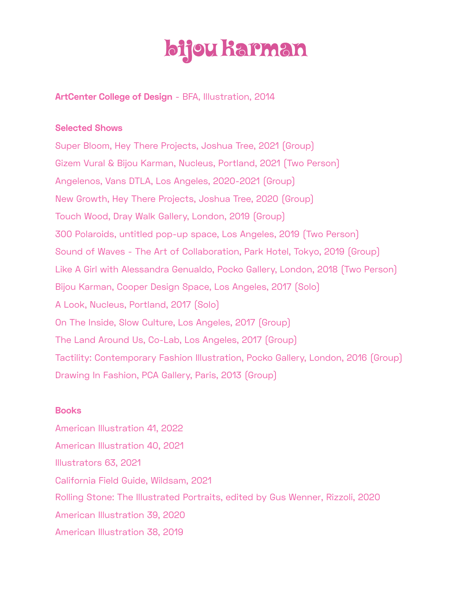# bijou karman

**ArtCenter College of Design** - BFA, Illustration, 2014

## **Selected Shows**

Super Bloom, Hey There Projects, Joshua Tree, 2021 (Group) Gizem Vural & Bijou Karman, Nucleus, Portland, 2021 (Two Person) Angelenos, Vans DTLA, Los Angeles, 2020-2021 (Group) New Growth, Hey There Projects, Joshua Tree, 2020 (Group) Touch Wood, Dray Walk Gallery, London, 2019 (Group) 300 Polaroids, untitled pop-up space, Los Angeles, 2019 (Two Person) Sound of Waves - The Art of Collaboration, Park Hotel, Tokyo, 2019 (Group) Like A Girl with Alessandra Genualdo, Pocko Gallery, London, 2018 (Two Person) Bijou Karman, Cooper Design Space, Los Angeles, 2017 (Solo) A Look, Nucleus, Portland, 2017 (Solo) On The Inside, Slow Culture, Los Angeles, 2017 (Group) The Land Around Us, Co-Lab, Los Angeles, 2017 (Group) Tactility: Contemporary Fashion Illustration, Pocko Gallery, London, 2016 (Group) Drawing In Fashion, PCA Gallery, Paris, 2013 (Group)

### **Books**

American Illustration 41, 2022 American Illustration 40, 2021 Illustrators 63, 2021 California Field Guide, Wildsam, 2021 Rolling Stone: The Illustrated Portraits, edited by Gus Wenner, Rizzoli, 2020 American Illustration 39, 2020 American Illustration 38, 2019